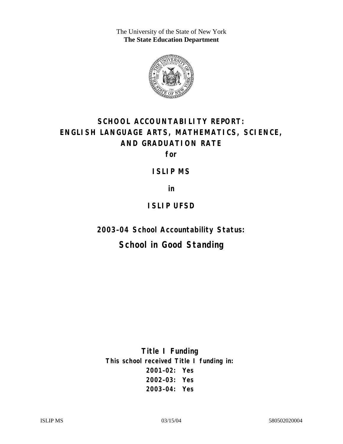The University of the State of New York **The State Education Department** 



# **SCHOOL ACCOUNTABILITY REPORT: ENGLISH LANGUAGE ARTS, MATHEMATICS, SCIENCE, AND GRADUATION RATE**

**for** 

**ISLIP MS** 

**in** 

### **ISLIP UFSD**

**2003–04 School Accountability Status:** 

## **School in Good Standing**

**Title I Funding This school received Title I funding in: 2001–02: Yes 2002–03: Yes 2003–04: Yes**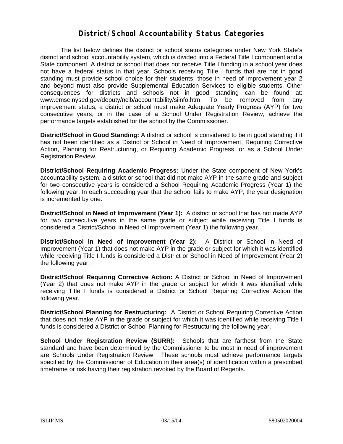#### **District/School Accountability Status Categories**

The list below defines the district or school status categories under New York State's district and school accountability system, which is divided into a Federal Title I component and a State component. A district or school that does not receive Title I funding in a school year does not have a federal status in that year. Schools receiving Title I funds that are not in good standing must provide school choice for their students; those in need of improvement year 2 and beyond must also provide Supplemental Education Services to eligible students. Other consequences for districts and schools not in good standing can be found at: www.emsc.nysed.gov/deputy/nclb/accountability/siinfo.htm. To be removed from any improvement status, a district or school must make Adequate Yearly Progress (AYP) for two consecutive years, or in the case of a School Under Registration Review, achieve the performance targets established for the school by the Commissioner.

**District/School in Good Standing:** A district or school is considered to be in good standing if it has not been identified as a District or School in Need of Improvement, Requiring Corrective Action, Planning for Restructuring, or Requiring Academic Progress, or as a School Under Registration Review.

**District/School Requiring Academic Progress:** Under the State component of New York's accountability system, a district or school that did not make AYP in the same grade and subject for two consecutive years is considered a School Requiring Academic Progress (Year 1) the following year. In each succeeding year that the school fails to make AYP, the year designation is incremented by one.

**District/School in Need of Improvement (Year 1):** A district or school that has not made AYP for two consecutive years in the same grade or subject while receiving Title I funds is considered a District/School in Need of Improvement (Year 1) the following year.

**District/School in Need of Improvement (Year 2):** A District or School in Need of Improvement (Year 1) that does not make AYP in the grade or subject for which it was identified while receiving Title I funds is considered a District or School in Need of Improvement (Year 2) the following year.

**District/School Requiring Corrective Action:** A District or School in Need of Improvement (Year 2) that does not make AYP in the grade or subject for which it was identified while receiving Title I funds is considered a District or School Requiring Corrective Action the following year.

**District/School Planning for Restructuring:** A District or School Requiring Corrective Action that does not make AYP in the grade or subject for which it was identified while receiving Title I funds is considered a District or School Planning for Restructuring the following year.

**School Under Registration Review (SURR):** Schools that are farthest from the State standard and have been determined by the Commissioner to be most in need of improvement are Schools Under Registration Review. These schools must achieve performance targets specified by the Commissioner of Education in their area(s) of identification within a prescribed timeframe or risk having their registration revoked by the Board of Regents.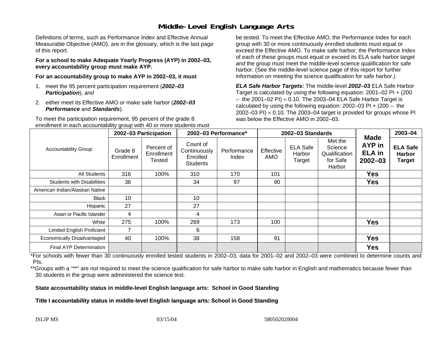#### **Middle-Level English Language Arts**

Definitions of terms, such as Performance Index and Effective Annual Measurable Objective (AMO), are in the glossary, which is the last page of this report.

**For a school to make Adequate Yearly Progress (AYP) in 2002–03, every accountability group must make AYP.** 

**For an accountability group to make AYP in 2002–03, it must** 

- 1. meet the 95 percent participation requirement (*2002–03 Participation*), *and*
- 2. *either* meet its Effective AMO *or* make safe harbor (*2002–03 Performance* and *Standards*).

To meet the participation requirement, 95 percent of the grade 8 enrollment in each accountability group with 40 or more students must

be tested. To meet the Effective AMO, the Performance Index for each group with 30 or more continuously enrolled students must equal or exceed the Effective AMO. To make safe harbor, the Performance Index of each of these groups must equal or exceed its ELA safe harbor target *and* the group must meet the middle-level science qualification for safe harbor. (See the middle-level science page of this report for further information on meeting the science qualification for safe harbor.)

*ELA Safe Harbor Targets:* The middle-level *2002–03* ELA Safe Harbor Target is calculated by using the following equation: 2001–02 PI + (200  $-$  the 2001–02 PI)  $\times$  0.10. The 2003–04 ELA Safe Harbor Target is  $\,$ calculated by using the following equation:  $2002-03$  PI +  $(200 -$  the 2002–03 PI)  $\times$  0.10. The 2003–04 target is provided for groups whose PI was below the Effective AMO in 2002–03.

| <b>Accountability Group</b>       | 2002-03 Participation |                                    | 2002-03 Performance*                                    |                      | 2002-03 Standards |                                     |                                                           |                                                       | 2003-04                                           |
|-----------------------------------|-----------------------|------------------------------------|---------------------------------------------------------|----------------------|-------------------|-------------------------------------|-----------------------------------------------------------|-------------------------------------------------------|---------------------------------------------------|
|                                   | Grade 8<br>Enrollment | Percent of<br>Enrollment<br>Tested | Count of<br>Continuously<br>Enrolled<br><b>Students</b> | Performance<br>Index | Effective<br>AMO  | <b>ELA Safe</b><br>Harbor<br>Target | Met the<br>Science<br>Qualification<br>for Safe<br>Harbor | <b>Made</b><br>AYP in<br><b>ELA</b> in<br>$2002 - 03$ | <b>ELA Safe</b><br><b>Harbor</b><br><b>Target</b> |
| <b>All Students</b>               | 316                   | 100%                               | 310                                                     | 170                  | 101               |                                     |                                                           | <b>Yes</b>                                            |                                                   |
| <b>Students with Disabilities</b> | 36                    |                                    | 34                                                      | 97                   | 90                |                                     |                                                           | <b>Yes</b>                                            |                                                   |
| American Indian/Alaskan Native    |                       |                                    |                                                         |                      |                   |                                     |                                                           |                                                       |                                                   |
| <b>Black</b>                      | 10                    |                                    | 10                                                      |                      |                   |                                     |                                                           |                                                       |                                                   |
| Hispanic                          | 27                    |                                    | 27                                                      |                      |                   |                                     |                                                           |                                                       |                                                   |
| Asian or Pacific Islander         | 4                     |                                    | 4                                                       |                      |                   |                                     |                                                           |                                                       |                                                   |
| White                             | 275                   | 100%                               | 269                                                     | 173                  | 100               |                                     |                                                           | <b>Yes</b>                                            |                                                   |
| <b>Limited English Proficient</b> |                       |                                    | 6                                                       |                      |                   |                                     |                                                           |                                                       |                                                   |
| Economically Disadvantaged        | 40                    | 100%                               | 38                                                      | 158                  | 91                |                                     |                                                           | <b>Yes</b>                                            |                                                   |
| <b>Final AYP Determination</b>    |                       |                                    |                                                         |                      |                   |                                     |                                                           | <b>Yes</b>                                            |                                                   |

\*For schools with fewer than 30 continuously enrolled tested students in 2002–03, data for 2001–02 and 2002–03 were combined to determine counts and PIs.

\*\*Groups with a "\*\*" are not required to meet the science qualification for safe harbor to make safe harbor in English and mathematics because fewer than 30 students in the group were administered the science test.

**State accountability status in middle-level English language arts: School in Good Standing** 

Title I accountability status in middle-level English language arts: School in Good Standing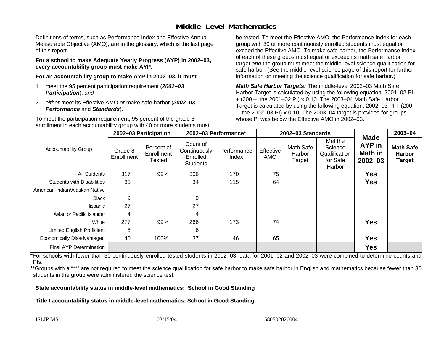#### **Middle-Level Mathematics**

Definitions of terms, such as Performance Index and Effective Annual Measurable Objective (AMO), are in the glossary, which is the last page of this report.

**For a school to make Adequate Yearly Progress (AYP) in 2002–03, every accountability group must make AYP.** 

**For an accountability group to make AYP in 2002–03, it must** 

- 1. meet the 95 percent participation requirement (*2002–03 Participation*), *and*
- 2. *either* meet its Effective AMO *or* make safe harbor (*2002–03 Performance* and *Standards*).

To meet the participation requirement, 95 percent of the grade 8 enrollment in each accountability group with 40 or more students must be tested. To meet the Effective AMO, the Performance Index for each group with 30 or more continuously enrolled students must equal or exceed the Effective AMO. To make safe harbor, the Performance Index of each of these groups must equal or exceed its math safe harbor target *and* the group must meet the middle-level science qualification for safe harbor. (See the middle-level science page of this report for further information on meeting the science qualification for safe harbor.)

*Math Safe Harbor Targets:* The middle-level 2002–03 Math Safe Harbor Target is calculated by using the following equation: 2001–02 PI + (200 – the 2001–02 PI) × 0.10. The 2003–04 Math Safe Harbor Target is calculated by using the following equation: 2002–03 PI + (200  $-$  the 2002–03 PI)  $\times$  0.10. The 2003–04 target is provided for groups whose PI was below the Effective AMO in 2002–03.

| <b>Accountability Group</b>       | 2002-03 Participation |                                    | 2002-03 Performance*                                    |                      | 2002-03 Standards |                               |                                                           |                                                               | 2003-04                                            |
|-----------------------------------|-----------------------|------------------------------------|---------------------------------------------------------|----------------------|-------------------|-------------------------------|-----------------------------------------------------------|---------------------------------------------------------------|----------------------------------------------------|
|                                   | Grade 8<br>Enrollment | Percent of<br>Enrollment<br>Tested | Count of<br>Continuously<br>Enrolled<br><b>Students</b> | Performance<br>Index | Effective<br>AMO  | Math Safe<br>Harbor<br>Target | Met the<br>Science<br>Qualification<br>for Safe<br>Harbor | <b>Made</b><br><b>AYP</b> in<br><b>Math in</b><br>$2002 - 03$ | <b>Math Safe</b><br><b>Harbor</b><br><b>Target</b> |
| All Students                      | 317                   | 99%                                | 306                                                     | 170                  | 75                |                               |                                                           | <b>Yes</b>                                                    |                                                    |
| <b>Students with Disabilities</b> | 35                    |                                    | 34                                                      | 115                  | 64                |                               |                                                           | <b>Yes</b>                                                    |                                                    |
| American Indian/Alaskan Native    |                       |                                    |                                                         |                      |                   |                               |                                                           |                                                               |                                                    |
| <b>Black</b>                      | 9                     |                                    | 9                                                       |                      |                   |                               |                                                           |                                                               |                                                    |
| Hispanic                          | 27                    |                                    | 27                                                      |                      |                   |                               |                                                           |                                                               |                                                    |
| Asian or Pacific Islander         | 4                     |                                    | 4                                                       |                      |                   |                               |                                                           |                                                               |                                                    |
| White                             | 277                   | 99%                                | 266                                                     | 173                  | 74                |                               |                                                           | <b>Yes</b>                                                    |                                                    |
| Limited English Proficient        | 8                     |                                    | 6                                                       |                      |                   |                               |                                                           |                                                               |                                                    |
| Economically Disadvantaged        | 40                    | 100%                               | 37                                                      | 146                  | 65                |                               |                                                           | <b>Yes</b>                                                    |                                                    |
| <b>Final AYP Determination</b>    |                       |                                    |                                                         |                      |                   |                               |                                                           | <b>Yes</b>                                                    |                                                    |

\*For schools with fewer than 30 continuously enrolled tested students in 2002–03, data for 2001–02 and 2002–03 were combined to determine counts and PIs.

\*\*Groups with a "\*\*" are not required to meet the science qualification for safe harbor to make safe harbor in English and mathematics because fewer than 30 students in the group were administered the science test.

**State accountability status in middle-level mathematics: School in Good Standing** 

Title I accountability status in middle-level mathematics: School in Good Standing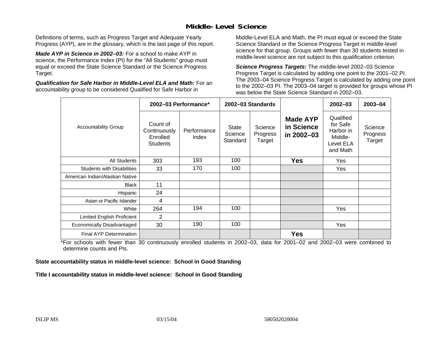#### **Middle-Level Science**

Definitions of terms, such as Progress Target and Adequate Yearly Progress (AYP), are in the glossary, which is the last page of this report.

*Made AYP in Science in 2002–03:* For a school to make AYP in science, the Performance Index (PI) for the "All Students" group must equal or exceed the State Science Standard or the Science Progress Target.

*Qualification for Safe Harbor in Middle-Level ELA and Math:* For an accountability group to be considered Qualified for Safe Harbor in

Middle-Level ELA and Math, the PI must equal or exceed the State Science Standard or the Science Progress Target in middle-level science for that group. Groups with fewer than 30 students tested in middle-level science are not subject to this qualification criterion.

*Science Progress Targets:* The middle-level 2002–03 Science Progress Target is calculated by adding one point to the 2001–02 PI. The 2003–04 Science Progress Target is calculated by adding one point to the 2002–03 PI. The 2003–04 target is provided for groups whose PI was below the State Science Standard in 2002–03.

|                                   |                                                         | 2002-03 Performance* |                                     | 2002-03 Standards             |                                             | $2002 - 03$                                                            | $2003 - 04$                   |
|-----------------------------------|---------------------------------------------------------|----------------------|-------------------------------------|-------------------------------|---------------------------------------------|------------------------------------------------------------------------|-------------------------------|
| <b>Accountability Group</b>       | Count of<br>Continuously<br>Enrolled<br><b>Students</b> | Performance<br>Index | <b>State</b><br>Science<br>Standard | Science<br>Progress<br>Target | <b>Made AYP</b><br>in Science<br>in 2002-03 | Qualified<br>for Safe<br>Harbor in<br>Middle-<br>Level ELA<br>and Math | Science<br>Progress<br>Target |
| <b>All Students</b>               | 303                                                     | 193                  | 100                                 |                               | <b>Yes</b>                                  | Yes                                                                    |                               |
| <b>Students with Disabilities</b> | 33                                                      | 170                  | 100                                 |                               |                                             | Yes                                                                    |                               |
| American Indian/Alaskan Native    |                                                         |                      |                                     |                               |                                             |                                                                        |                               |
| <b>Black</b>                      | 11                                                      |                      |                                     |                               |                                             |                                                                        |                               |
| Hispanic                          | 24                                                      |                      |                                     |                               |                                             |                                                                        |                               |
| Asian or Pacific Islander         | 4                                                       |                      |                                     |                               |                                             |                                                                        |                               |
| White                             | 264                                                     | 194                  | 100                                 |                               |                                             | Yes                                                                    |                               |
| Limited English Proficient        | 2                                                       |                      |                                     |                               |                                             |                                                                        |                               |
| Economically Disadvantaged        | 30                                                      | 190                  | 100                                 |                               |                                             | Yes                                                                    |                               |
| <b>Final AYP Determination</b>    |                                                         |                      |                                     |                               | <b>Yes</b>                                  |                                                                        |                               |

\*For schools with fewer than 30 continuously enrolled students in 2002–03, data for 2001–02 and 2002–03 were combined to determine counts and PIs.

**State accountability status in middle-level science: School in Good Standing** 

Title I accountability status in middle-level science: School in Good Standing